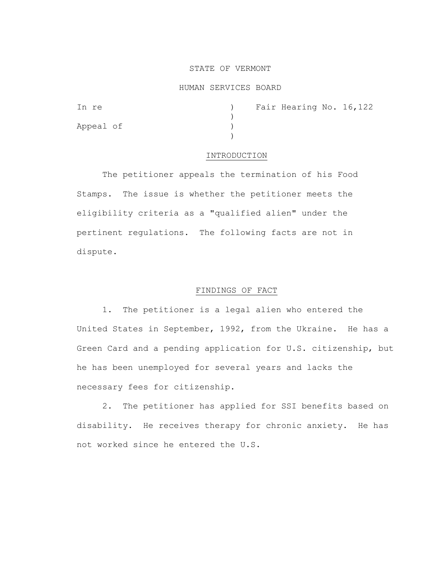# STATE OF VERMONT

#### HUMAN SERVICES BOARD

| In re     |  | ) Fair Hearing No. 16, 122 |  |
|-----------|--|----------------------------|--|
|           |  |                            |  |
| Appeal of |  |                            |  |
|           |  |                            |  |

# INTRODUCTION

The petitioner appeals the termination of his Food Stamps. The issue is whether the petitioner meets the eligibility criteria as a "qualified alien" under the pertinent regulations. The following facts are not in dispute.

### FINDINGS OF FACT

1. The petitioner is a legal alien who entered the United States in September, 1992, from the Ukraine. He has a Green Card and a pending application for U.S. citizenship, but he has been unemployed for several years and lacks the necessary fees for citizenship.

2. The petitioner has applied for SSI benefits based on disability. He receives therapy for chronic anxiety. He has not worked since he entered the U.S.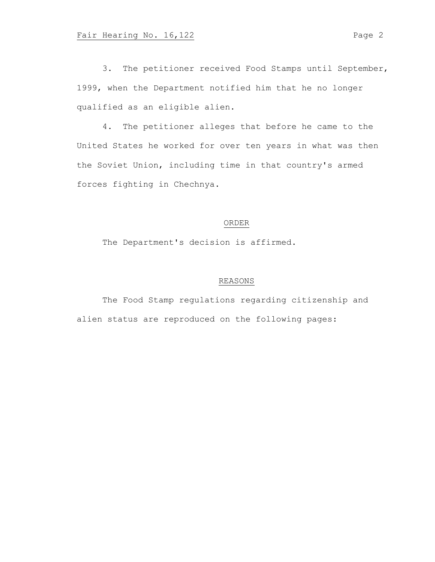3. The petitioner received Food Stamps until September, 1999, when the Department notified him that he no longer qualified as an eligible alien.

4. The petitioner alleges that before he came to the United States he worked for over ten years in what was then the Soviet Union, including time in that country's armed forces fighting in Chechnya.

# ORDER

The Department's decision is affirmed.

# REASONS

The Food Stamp regulations regarding citizenship and alien status are reproduced on the following pages: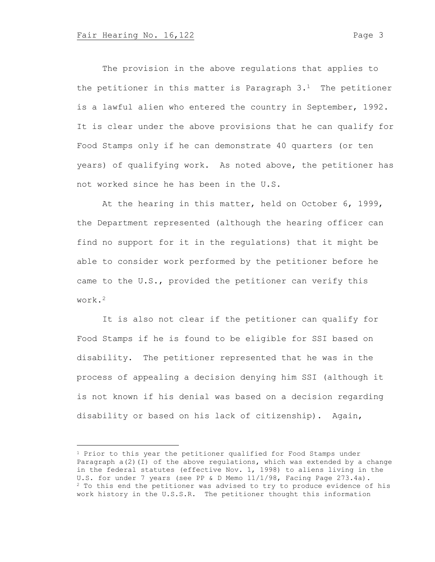The provision in the above regulations that applies to the petitioner in this matter is Paragraph  $3.1$  The petitioner is a lawful alien who entered the country in September, 1992. It is clear under the above provisions that he can qualify for Food Stamps only if he can demonstrate 40 quarters (or ten years) of qualifying work. As noted above, the petitioner has not worked since he has been in the U.S.

At the hearing in this matter, held on October 6, 1999, the Department represented (although the hearing officer can find no support for it in the regulations) that it might be able to consider work performed by the petitioner before he came to the U.S., provided the petitioner can verify this work.<sup>2</sup>

It is also not clear if the petitioner can qualify for Food Stamps if he is found to be eligible for SSI based on disability. The petitioner represented that he was in the process of appealing a decision denying him SSI (although it is not known if his denial was based on a decision regarding disability or based on his lack of citizenship). Again,

<sup>&</sup>lt;sup>1</sup> Prior to this year the petitioner qualified for Food Stamps under Paragraph a(2)(I) of the above regulations, which was extended by a change in the federal statutes (effective Nov. 1, 1998) to aliens living in the U.S. for under 7 years (see PP & D Memo 11/1/98, Facing Page 273.4a). <sup>2</sup> To this end the petitioner was advised to try to produce evidence of his work history in the U.S.S.R. The petitioner thought this information